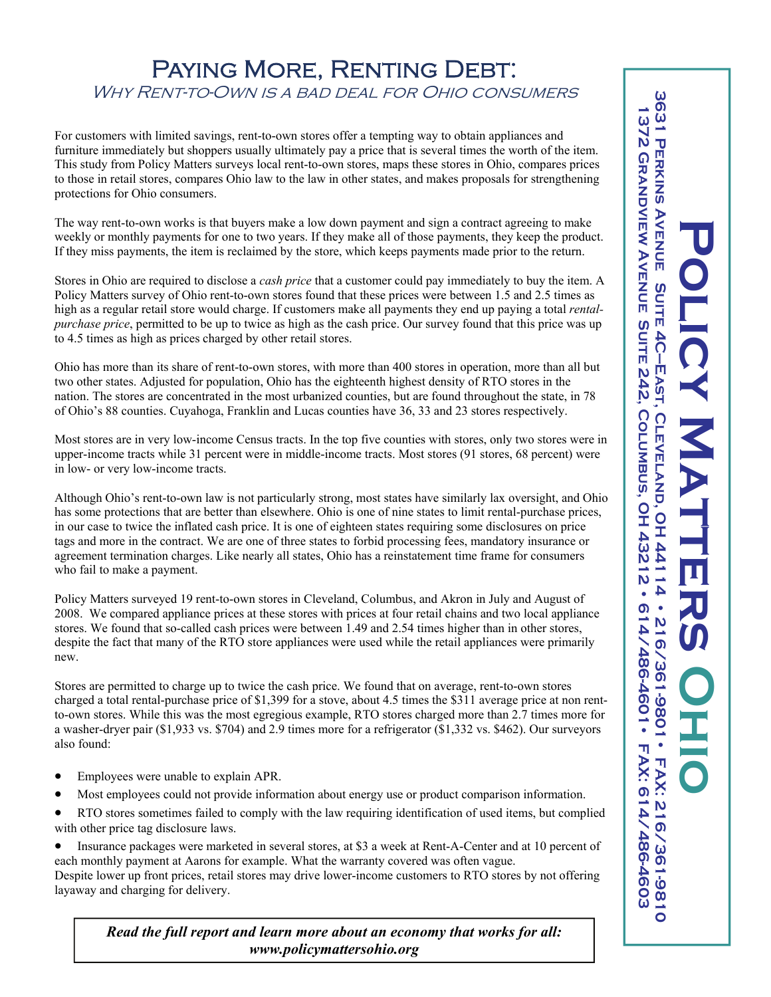## PAYING MORE, RENTING DEBT. Why Rent-to-Own is a bad deal for Ohio consumers

For customers with limited savings, rent-to-own stores offer a tempting way to obtain appliances and furniture immediately but shoppers usually ultimately pay a price that is several times the worth of the item. This study from Policy Matters surveys local rent-to-own stores, maps these stores in Ohio, compares prices to those in retail stores, compares Ohio law to the law in other states, and makes proposals for strengthening protections for Ohio consumers.

The way rent-to-own works is that buyers make a low down payment and sign a contract agreeing to make weekly or monthly payments for one to two years. If they make all of those payments, they keep the product. If they miss payments, the item is reclaimed by the store, which keeps payments made prior to the return.

Stores in Ohio are required to disclose a *cash price* that a customer could pay immediately to buy the item. A Policy Matters survey of Ohio rent-to-own stores found that these prices were between 1.5 and 2.5 times as high as a regular retail store would charge. If customers make all payments they end up paying a total *rentalpurchase price*, permitted to be up to twice as high as the cash price. Our survey found that this price was up to 4.5 times as high as prices charged by other retail stores.

Ohio has more than its share of rent-to-own stores, with more than 400 stores in operation, more than all but two other states. Adjusted for population, Ohio has the eighteenth highest density of RTO stores in the nation. The stores are concentrated in the most urbanized counties, but are found throughout the state, in 78 of Ohio's 88 counties. Cuyahoga, Franklin and Lucas counties have 36, 33 and 23 stores respectively.

Most stores are in very low-income Census tracts. In the top five counties with stores, only two stores were in upper-income tracts while 31 percent were in middle-income tracts. Most stores (91 stores, 68 percent) were in low- or very low-income tracts.

Although Ohio's rent-to-own law is not particularly strong, most states have similarly lax oversight, and Ohio has some protections that are better than elsewhere. Ohio is one of nine states to limit rental-purchase prices, in our case to twice the inflated cash price. It is one of eighteen states requiring some disclosures on price tags and more in the contract. We are one of three states to forbid processing fees, mandatory insurance or agreement termination charges. Like nearly all states, Ohio has a reinstatement time frame for consumers who fail to make a payment.

Policy Matters surveyed 19 rent-to-own stores in Cleveland, Columbus, and Akron in July and August of 2008. We compared appliance prices at these stores with prices at four retail chains and two local appliance stores. We found that so-called cash prices were between 1.49 and 2.54 times higher than in other stores, despite the fact that many of the RTO store appliances were used while the retail appliances were primarily new.

Stores are permitted to charge up to twice the cash price. We found that on average, rent-to-own stores charged a total rental-purchase price of \$1,399 for a stove, about 4.5 times the \$311 average price at non rentto-own stores. While this was the most egregious example, RTO stores charged more than 2.7 times more for a washer-dryer pair (\$1,933 vs. \$704) and 2.9 times more for a refrigerator (\$1,332 vs. \$462). Our surveyors also found:

- Employees were unable to explain APR.
- Most employees could not provide information about energy use or product comparison information.
- RTO stores sometimes failed to comply with the law requiring identification of used items, but complied with other price tag disclosure laws.

• Insurance packages were marketed in several stores, at \$3 a week at Rent-A-Center and at 10 percent of each monthly payment at Aarons for example. What the warranty covered was often vague.

Despite lower up front prices, retail stores may drive lower-income customers to RTO stores by not offering layaway and charging for delivery.

*Read the full report and learn more about an economy that works for all: www.policymattersohio.org*